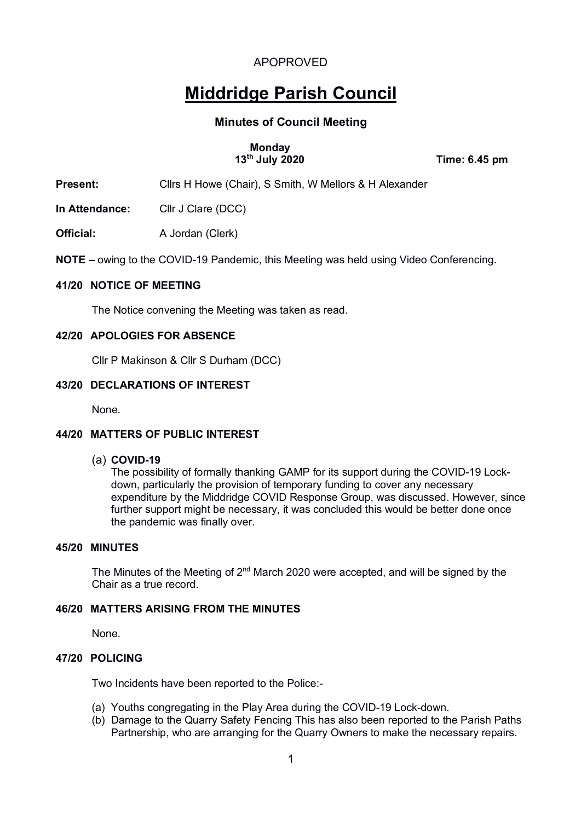# **Middridge Parish Council**

# **Minutes of Council Meeting**

# **Monday**

 **13th July 2020 Time: 6.45 pm**

**Present:** Clirs H Howe (Chair), S Smith, W Mellors & H Alexander

**In Attendance:** Cllr J Clare (DCC)

**Official:** A Jordan (Clerk)

**NOTE –** owing to the COVID-19 Pandemic, this Meeting was held using Video Conferencing.

#### **41/20 NOTICE OF MEETING**

The Notice convening the Meeting was taken as read.

#### **42/20 APOLOGIES FOR ABSENCE**

Cllr P Makinson & Cllr S Durham (DCC)

#### **43/20 DECLARATIONS OF INTEREST**

None.

#### **44/20 MATTERS OF PUBLIC INTEREST**

#### (a) **COVID-19**

The possibility of formally thanking GAMP for its support during the COVID-19 Lockdown, particularly the provision of temporary funding to cover any necessary expenditure by the Middridge COVID Response Group, was discussed. However, since further support might be necessary, it was concluded this would be better done once the pandemic was finally over.

#### **45/20 MINUTES**

The Minutes of the Meeting of  $2<sup>nd</sup>$  March 2020 were accepted, and will be signed by the Chair as a true record.

#### **46/20 MATTERS ARISING FROM THE MINUTES**

None.

#### **47/20 POLICING**

Two Incidents have been reported to the Police:-

- (a) Youths congregating in the Play Area during the COVID-19 Lock-down.
- (b) Damage to the Quarry Safety Fencing This has also been reported to the Parish Paths Partnership, who are arranging for the Quarry Owners to make the necessary repairs.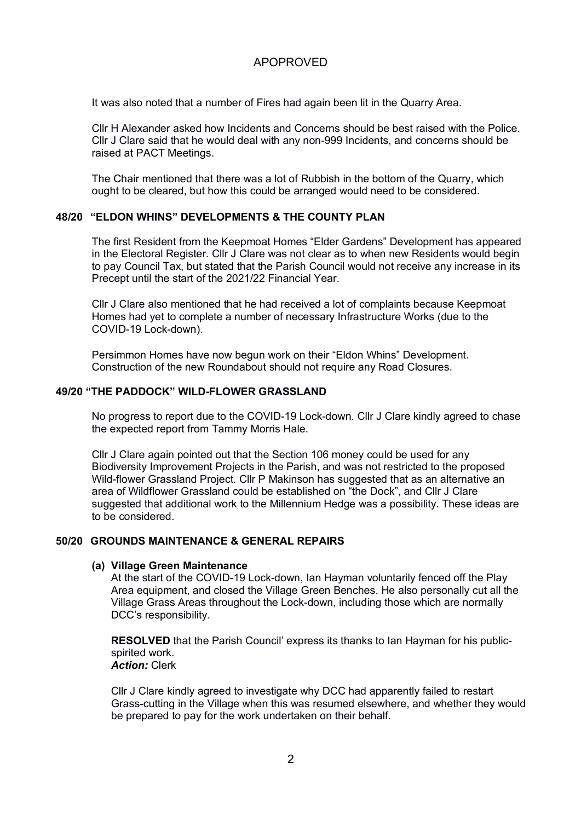It was also noted that a number of Fires had again been lit in the Quarry Area.

Cllr H Alexander asked how Incidents and Concerns should be best raised with the Police. Cllr J Clare said that he would deal with any non-999 Incidents, and concerns should be raised at PACT Meetings.

The Chair mentioned that there was a lot of Rubbish in the bottom of the Quarry, which ought to be cleared, but how this could be arranged would need to be considered.

#### **48/20 "ELDON WHINS" DEVELOPMENTS & THE COUNTY PLAN**

The first Resident from the Keepmoat Homes "Elder Gardens" Development has appeared in the Electoral Register. Cllr J Clare was not clear as to when new Residents would begin to pay Council Tax, but stated that the Parish Council would not receive any increase in its Precept until the start of the 2021/22 Financial Year.

Cllr J Clare also mentioned that he had received a lot of complaints because Keepmoat Homes had yet to complete a number of necessary Infrastructure Works (due to the COVID-19 Lock-down).

Persimmon Homes have now begun work on their "Eldon Whins" Development. Construction of the new Roundabout should not require any Road Closures.

#### **49/20 "THE PADDOCK" WILD-FLOWER GRASSLAND**

No progress to report due to the COVID-19 Lock-down. Cllr J Clare kindly agreed to chase the expected report from Tammy Morris Hale.

Cllr J Clare again pointed out that the Section 106 money could be used for any Biodiversity Improvement Projects in the Parish, and was not restricted to the proposed Wild-flower Grassland Project. Cllr P Makinson has suggested that as an alternative an area of Wildflower Grassland could be established on "the Dock", and Cllr J Clare suggested that additional work to the Millennium Hedge was a possibility. These ideas are to be considered.

#### **50/20 GROUNDS MAINTENANCE & GENERAL REPAIRS**

#### **(a) Village Green Maintenance**

At the start of the COVID-19 Lock-down, Ian Hayman voluntarily fenced off the Play Area equipment, and closed the Village Green Benches. He also personally cut all the Village Grass Areas throughout the Lock-down, including those which are normally DCC's responsibility.

**RESOLVED** that the Parish Council' express its thanks to Ian Hayman for his publicspirited work. *Action:* Clerk

Cllr J Clare kindly agreed to investigate why DCC had apparently failed to restart Grass-cutting in the Village when this was resumed elsewhere, and whether they would be prepared to pay for the work undertaken on their behalf.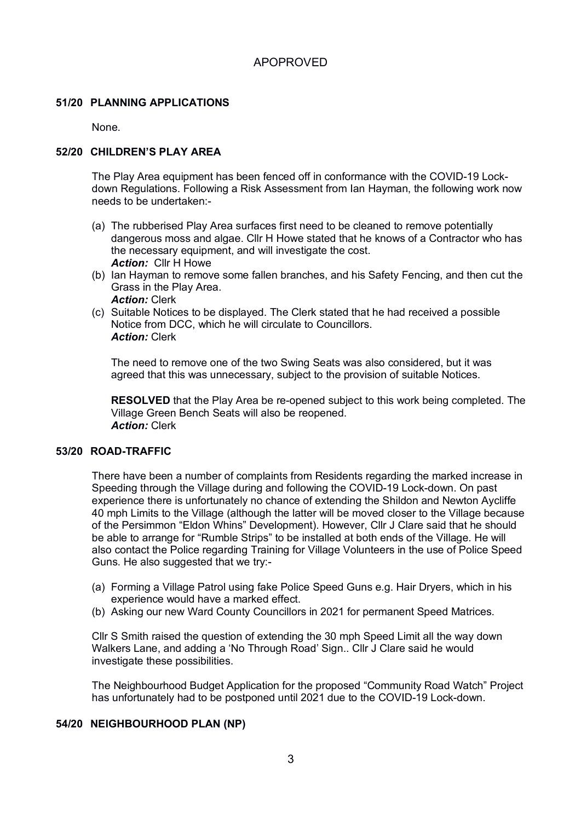#### **51/20 PLANNING APPLICATIONS**

None.

#### **52/20 CHILDREN'S PLAY AREA**

The Play Area equipment has been fenced off in conformance with the COVID-19 Lockdown Regulations. Following a Risk Assessment from Ian Hayman, the following work now needs to be undertaken:-

- (a) The rubberised Play Area surfaces first need to be cleaned to remove potentially dangerous moss and algae. Cllr H Howe stated that he knows of a Contractor who has the necessary equipment, and will investigate the cost. *Action:* Cllr H Howe
- (b) Ian Hayman to remove some fallen branches, and his Safety Fencing, and then cut the Grass in the Play Area. *Action:* Clerk
- (c) Suitable Notices to be displayed. The Clerk stated that he had received a possible Notice from DCC, which he will circulate to Councillors. *Action:* Clerk

The need to remove one of the two Swing Seats was also considered, but it was agreed that this was unnecessary, subject to the provision of suitable Notices.

**RESOLVED** that the Play Area be re-opened subject to this work being completed. The Village Green Bench Seats will also be reopened. *Action:* Clerk

#### **53/20 ROAD-TRAFFIC**

There have been a number of complaints from Residents regarding the marked increase in Speeding through the Village during and following the COVID-19 Lock-down. On past experience there is unfortunately no chance of extending the Shildon and Newton Aycliffe 40 mph Limits to the Village (although the latter will be moved closer to the Village because of the Persimmon "Eldon Whins" Development). However, Cllr J Clare said that he should be able to arrange for "Rumble Strips" to be installed at both ends of the Village. He will also contact the Police regarding Training for Village Volunteers in the use of Police Speed Guns. He also suggested that we try:-

- (a) Forming a Village Patrol using fake Police Speed Guns e.g. Hair Dryers, which in his experience would have a marked effect.
- (b) Asking our new Ward County Councillors in 2021 for permanent Speed Matrices.

Cllr S Smith raised the question of extending the 30 mph Speed Limit all the way down Walkers Lane, and adding a 'No Through Road' Sign.. Cllr J Clare said he would investigate these possibilities.

The Neighbourhood Budget Application for the proposed "Community Road Watch" Project has unfortunately had to be postponed until 2021 due to the COVID-19 Lock-down.

#### **54/20 NEIGHBOURHOOD PLAN (NP)**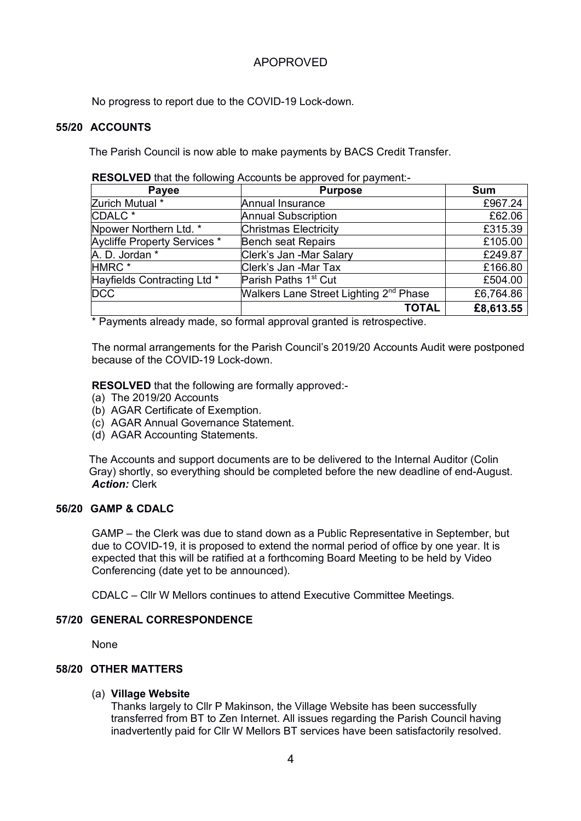No progress to report due to the COVID-19 Lock-down.

#### **55/20 ACCOUNTS**

The Parish Council is now able to make payments by BACS Credit Transfer.

| RESOLVED that the following Accounts be approved for payment:- |  |  |  |
|----------------------------------------------------------------|--|--|--|
|----------------------------------------------------------------|--|--|--|

| Payee                        | <b>Purpose</b>                                     | <b>Sum</b> |
|------------------------------|----------------------------------------------------|------------|
| Zurich Mutual *              | Annual Insurance                                   | £967.24    |
| CDALC <sup>*</sup>           | <b>Annual Subscription</b>                         | £62.06     |
| Npower Northern Ltd. *       | <b>Christmas Electricity</b>                       | £315.39    |
| Aycliffe Property Services * | <b>Bench seat Repairs</b>                          | £105.00    |
| A. D. Jordan *               | Clerk's Jan -Mar Salary                            | £249.87    |
| HMRC <sup>*</sup>            | Clerk's Jan -Mar Tax                               | £166.80    |
| Hayfields Contracting Ltd *  | Parish Paths 1 <sup>st</sup> Cut                   | £504.00    |
| <b>DCC</b>                   | Walkers Lane Street Lighting 2 <sup>nd</sup> Phase | £6,764.86  |
|                              | <b>TOTAL</b>                                       | £8,613.55  |

\* Payments already made, so formal approval granted is retrospective.

The normal arrangements for the Parish Council's 2019/20 Accounts Audit were postponed because of the COVID-19 Lock-down.

**RESOLVED** that the following are formally approved:-

- (a) The 2019/20 Accounts
- (b) AGAR Certificate of Exemption.
- (c) AGAR Annual Governance Statement.
- (d) AGAR Accounting Statements.

The Accounts and support documents are to be delivered to the Internal Auditor (Colin Gray) shortly, so everything should be completed before the new deadline of end-August. *Action:* Clerk

#### **56/20 GAMP & CDALC**

GAMP – the Clerk was due to stand down as a Public Representative in September, but due to COVID-19, it is proposed to extend the normal period of office by one year. It is expected that this will be ratified at a forthcoming Board Meeting to be held by Video Conferencing (date yet to be announced).

CDALC – Cllr W Mellors continues to attend Executive Committee Meetings.

#### **57/20 GENERAL CORRESPONDENCE**

None

## **58/20 OTHER MATTERS**

#### (a) **Village Website**

Thanks largely to Cllr P Makinson, the Village Website has been successfully transferred from BT to Zen Internet. All issues regarding the Parish Council having inadvertently paid for Cllr W Mellors BT services have been satisfactorily resolved.